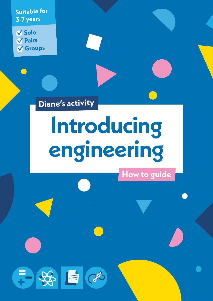**Suitable for 3-7 years**

**Solo Pairs Groups**

**Diane's activity**

 $-88$   $\alpha$ 

# **Introducing engineering**

**How to guide**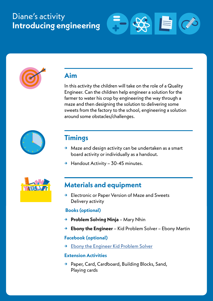# Diane's activity **Introducing engineering**





# **Aim**

In this activity the children will take on the role of a Quality Engineer. Can the children help engineer a solution for the farmer to water his crop by engineering the way through a maze and then designing the solution to delivering some sweets from the factory to the school, engineering a solution around some obstacles/challenges.



# **Timings**

- **→** Maze and design activity can be undertaken as a smart board activity or individually as a handout.
- **→** Handout Activity 30-45 minutes.



# **Materials and equipment**

**→** Electronic or Paper Version of Maze and Sweets Delivery activity

#### **Books (optional)**

- **→ Problem Solving Ninja** Mary Nhin
- **→ Ebony the Engineer** Kid Problem Solver Ebony Martin

#### **Facebook (optional)**

**→** [Ebony the Engineer Kid Problem Solver](https://www.facebook.com/EbonytheEngineer/)

#### **Extension Activities**

**→** Paper, Card, Cardboard, Building Blocks, Sand, Playing cards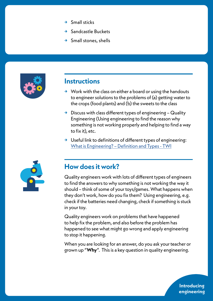- **→** Small sticks
- **→** Sandcastle Buckets
- **→** Small stones, shells



## **Instructions**

- **→** Work with the class on either a board or using the handouts to engineer solutions to the problems of (a) getting water to the crops (food plants) and (b) the sweets to the class
- **→** Discuss with class different types of engineering Quality Engineering (Using engineering to find the reason why something is not working properly and helping to find a way to fix it), etc.
- **→** Useful link to definitions of different types of engineering: [What is Engineering? – Definition and Types - TWI](https://www.twi-global.com/technical-knowledge/faqs/what-is-engineering#:~:text=%2520Types%2520of%2520Engineering%2520%25201%2520Mechanical%2520Engineering.,mechanical%2520and%2520electrical%2520engineering%252C%2520aerospace%2520engineering...%2520More%2520)



## **How does it work?**

Quality engineers work with lots of different types of engineers to find the answers to why something is not working the way it should – think of some of your toys/games. What happens when they don't work, how do you fix them? Using engineering, e.g. check if the batteries need changing, check if something is stuck in your toy.

Quality engineers work on problems that have happened to help fix the problem, and also before the problem has happened to see what might go wrong and apply engineering to stop it happening.

When you are looking for an answer, do you ask your teacher or grown up "**Why**". This is a key question in quality engineering.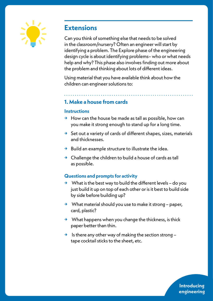

# **Extensions**

Can you think of something else that needs to be solved in the classroom/nursery? Often an engineer will start by identifying a problem. The Explore phase of the engineering design cycle is about identifying problems– who or what needs help and why? This phase also involves finding out more about the problem and thinking about lots of different ideas.

Using material that you have available think about how the children can engineer solutions to:

## **1. Make a house from cards**

#### **Instructions**

- **→** How can the house be made as tall as possible, how can you make it strong enough to stand up for a long time.
- **→** Set out a variety of cards of different shapes, sizes, materials and thicknesses.
- **→** Build an example structure to illustrate the idea.
- **→** Challenge the children to build a house of cards as tall as possible.

## **Questions and prompts for activity**

- **→** What is the best way to build the different levels do you just build it up on top of each other or is it best to build side by side before building up?
- **→** What material should you use to make it strong paper, card, plastic?
- **→** What happens when you change the thickness, is thick paper better than thin.
- **→** Is there any other way of making the section strong tape cocktail sticks to the sheet, etc.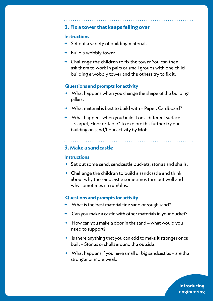## **2. Fix a tower that keeps falling over**

#### **Instructions**

- **→** Set out a variety of building materials.
- **→** Build a wobbly tower.
- **→** Challenge the children to fix the tower You can then ask them to work in pairs or small groups with one child building a wobbly tower and the others try to fix it.

#### **Questions and prompts for activity**

- **→** What happens when you change the shape of the building pillars.
- **→** What material is best to build with Paper, Cardboard?
- **→** What happens when you build it on a different surface – Carpet, Floor or Table? To explore this further try our building on sand/flour activity by Moh.

### **3. Make a sandcastle**

#### **Instructions**

- **→** Set out some sand, sandcastle buckets, stones and shells.
- **→** Challenge the children to build a sandcastle and think about why the sandcastle sometimes turn out well and why sometimes it crumbles.

#### **Questions and prompts for activity**

- **→** What is the best material fine sand or rough sand?
- **→** Can you make a castle with other materials in your bucket?
- **→** How can you make a door in the sand what would you need to support?
- **→** Is there anything that you can add to make it stronger once built – Stones or shells around the outside.
- **→** What happens if you have small or big sandcastles are the stronger or more weak.

**Introducing engineering**